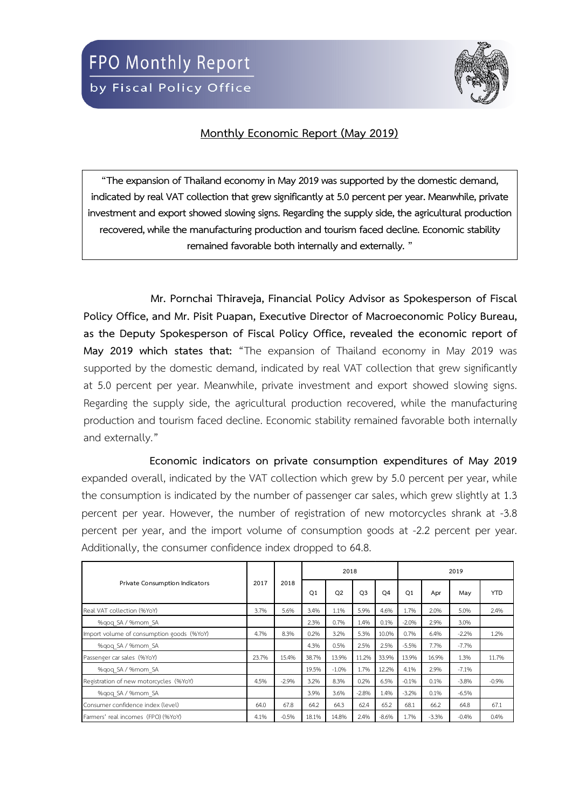

## **Monthly Economic Report (May 2019)**

**"The expansion of Thailand economy in May2019 was supported by the domestic demand, indicated by real VAT collection that grew significantly at 5.0 percent per year. Meanwhile, private investment and export showed slowing signs. Regarding the supply side, the agricultural production recovered, while the manufacturing production and tourism faced decline. Economic stability remained favorable both internally and externally."**

**Mr. Pornchai Thiraveja, Financial Policy Advisor as Spokesperson of Fiscal Policy Office, and Mr. Pisit Puapan, Executive Director of Macroeconomic Policy Bureau, as the Deputy Spokesperson of Fiscal Policy Office, revealed the economic report of May 2019 which states that:** "The expansion of Thailand economy in May 2019 was supported by the domestic demand, indicated by real VAT collection that grew significantly at 5.0 percent per year. Meanwhile, private investment and export showed slowing signs. Regarding the supply side, the agricultural production recovered, while the manufacturing production and tourism faced decline. Economic stability remained favorable both internally and externally."

**Economic indicators on private consumption expenditures of May 2019** expanded overall, indicated by the VAT collection which grew by 5.0 percent per year, while the consumption is indicated by the number of passenger car sales, which grew slightly at 1.3 percent per year. However, the number of registration of new motorcycles shrank at -3.8 percent per year, and the import volume of consumption goods at -2.2 percent per year. Additionally, the consumer confidence index dropped to 64.8.

|                                           |       |         |       | 2018    |                |                | 2019           |         |                                                                                            |            |  |
|-------------------------------------------|-------|---------|-------|---------|----------------|----------------|----------------|---------|--------------------------------------------------------------------------------------------|------------|--|
| Private Consumption Indicators            | 2017  | 2018    | Q1    | Q2      | O <sub>3</sub> | O <sub>4</sub> | O <sub>1</sub> | Apr     | May<br>5.0%<br>3.0%<br>$-2.2%$<br>$-7.7%$<br>1.3%<br>$-7.1%$<br>$-3.8%$<br>$-6.5%$<br>64.8 | <b>YTD</b> |  |
| Real VAT collection (%YoY)                | 3.7%  | 5.6%    | 3.4%  | 1.1%    | 5.9%           | 4.6%           | 1.7%           | 2.0%    |                                                                                            | 2.4%       |  |
| %gog SA / %mom SA                         |       |         | 2.3%  | 0.7%    | 1.4%           | 0.1%           | $-2.0%$        | 2.9%    |                                                                                            |            |  |
| Import volume of consumption goods (%YoY) | 4.7%  | 8.3%    | 0.2%  | 3.2%    | 5.3%           | 10.0%          | 0.7%           | 6.4%    |                                                                                            | 1.2%       |  |
| %gog SA / %mom SA                         |       |         | 4.3%  | 0.5%    | 2.5%           | 2.5%           | $-5.5%$        | 7.7%    |                                                                                            |            |  |
| Passenger car sales (%YoY)                | 23.7% | 15.4%   | 38.7% | 13.9%   | 11.2%          | 33.9%          | 13.9%          | 16.9%   |                                                                                            | 11.7%      |  |
| %gog SA / %mom SA                         |       |         | 19.5% | $-1.0%$ | 1.7%           | 12.2%          | 4.1%           | 2.9%    |                                                                                            |            |  |
| Registration of new motorcycles (%YoY)    | 4.5%  | $-2.9%$ | 3.2%  | 8.3%    | 0.2%           | 6.5%           | $-0.1%$        | 0.1%    |                                                                                            | $-0.9%$    |  |
| %gog SA / %mom SA                         |       |         | 3.9%  | 3.6%    | $-2.8%$        | 1.4%           | $-3.2%$        | 0.1%    |                                                                                            |            |  |
| Consumer confidence index (level)         | 64.0  | 67.8    | 64.2  | 64.3    | 62.4           | 65.2           | 68.1           | 66.2    |                                                                                            | 67.1       |  |
| Farmers' real incomes (FPO) (%YoY)        | 4.1%  | $-0.5%$ | 18.1% | 14.8%   | 2.4%           | $-8.6%$        | 1.7%           | $-3.3%$ | $-0.4%$                                                                                    | 0.4%       |  |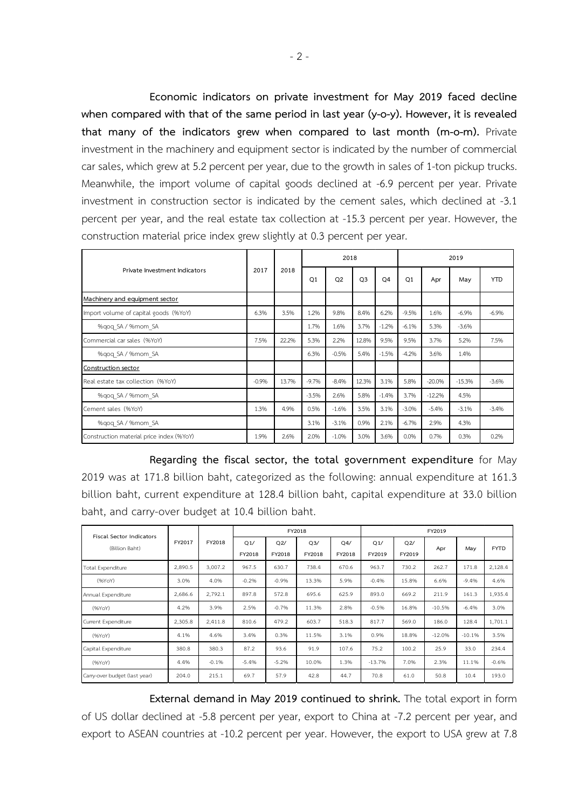**Economic indicators on private investment for May 2019 faced decline when compared with that of the same period in last year (y-o-y). However, it is revealed that many of the indicators grew when compared to last month (m-o-m).** Private investment in the machinery and equipment sector is indicated by the number of commercial car sales, which grew at 5.2 percent per year, due to the growth in sales of 1-ton pickup trucks. Meanwhile, the import volume of capital goods declined at -6.9 percent per year. Private investment in construction sector is indicated by the cement sales, which declined at -3.1 percent per year, and the real estate tax collection at -15.3 percent per year. However, the construction material price index grew slightly at 0.3 percent per year.

|                                          |         |       |                | 2018    |                |                | 2019           |          |          |            |  |
|------------------------------------------|---------|-------|----------------|---------|----------------|----------------|----------------|----------|----------|------------|--|
| Private Investment Indicators            | 2017    | 2018  | O <sub>1</sub> | Q2      | Q <sub>3</sub> | O <sub>4</sub> | O <sub>1</sub> | Apr      | May      | <b>YTD</b> |  |
| Machinery and equipment sector           |         |       |                |         |                |                |                |          |          |            |  |
| Import volume of capital goods (%YoY)    | 6.3%    | 3.5%  | 1.2%           | 9.8%    | 8.4%           | 6.2%           | $-9.5%$        | 1.6%     | $-6.9%$  | $-6.9%$    |  |
| %gog SA / %mom SA                        |         |       | 1.7%           | 1.6%    | 3.7%           | $-1.2%$        | $-6.1%$        | 5.3%     | $-3.6%$  |            |  |
| Commercial car sales (%YoY)              | 7.5%    | 22.2% | 5.3%           | 2.2%    | 12.8%          | 9.5%           | 9.5%           | 3.7%     | 5.2%     | 7.5%       |  |
| %gog SA / %mom SA                        |         |       | 6.3%           | $-0.5%$ | 5.4%           | $-1.5%$        | $-4.2%$        | 3.6%     | 1.4%     |            |  |
| Construction sector                      |         |       |                |         |                |                |                |          |          |            |  |
| Real estate tax collection (%YoY)        | $-0.9%$ | 13.7% | $-9.7%$        | $-8.4%$ | 12.3%          | 3.1%           | 5.8%           | $-20.0%$ | $-15.3%$ | $-3.6%$    |  |
| %gog SA / %mom SA                        |         |       | $-3.5%$        | 2.6%    | 5.8%           | $-1.4%$        | 3.7%           | $-12.2%$ | 4.5%     |            |  |
| Cement sales (%YoY)                      | 1.3%    | 4.9%  | 0.5%           | $-1.6%$ | 3.5%           | 3.1%           | $-3.0%$        | $-5.4%$  | $-3.1%$  | $-3.4%$    |  |
| %gog SA / %mom SA                        |         |       | 3.1%           | $-3.1%$ | 0.9%           | 2.1%           | $-6.7%$        | 2.9%     | 4.3%     |            |  |
| Construction material price index (%YoY) | 1.9%    | 2.6%  | 2.0%           | $-1.0%$ | 3.0%           | 3.6%           | 0.0%           | 0.7%     | 0.3%     | 0.2%       |  |

**Regarding the fiscal sector, the total government expenditure** for May 2019 was at 171.8 billion baht, categorized as the following: annual expenditure at 161.3 billion baht, current expenditure at 128.4 billion baht, capital expenditure at 33.0 billion baht, and carry-over budget at 10.4 billion baht.

| <b>Fiscal Sector Indicators</b> |         |         |               |               | FY2018        |               | FY2019        |               |          |          |             |  |  |  |
|---------------------------------|---------|---------|---------------|---------------|---------------|---------------|---------------|---------------|----------|----------|-------------|--|--|--|
| (Billion Baht)                  | FY2017  | FY2018  | Q1/<br>FY2018 | Q2/<br>FY2018 | Q3/<br>FY2018 | Q4/<br>FY2018 | Q1/<br>FY2019 | Q2/<br>FY2019 | Apr      | May      | <b>FYTD</b> |  |  |  |
| Total Expenditure               | 2,890.5 | 3,007.2 | 967.5         | 630.7         | 738.4         | 670.6         | 963.7         | 730.2         | 262.7    | 171.8    | 2,128.4     |  |  |  |
| (96YoY)                         | 3.0%    | 4.0%    | $-0.2%$       | $-0.9%$       | 13.3%         | 5.9%          | $-0.4%$       | 15.8%         | 6.6%     | $-9.4%$  | 4.6%        |  |  |  |
| Annual Expenditure              | 2,686.6 | 2,792.1 | 897.8         | 572.8         | 695.6         | 625.9         | 893.0         | 669.2         | 211.9    | 161.3    | 1,935.4     |  |  |  |
| (96YoY)                         | 4.2%    | 3.9%    | 2.5%          | $-0.7%$       | 11.3%         | 2.8%          | $-0.5%$       | 16.8%         | $-10.5%$ | $-6.4%$  | 3.0%        |  |  |  |
| Current Expenditure             | 2,305.8 | 2,411.8 | 810.6         | 479.2         | 603.7         | 518.3         | 817.7         | 569.0         | 186.0    | 128.4    | 1,701.1     |  |  |  |
| (96YoY)                         | 4.1%    | 4.6%    | 3.4%          | 0.3%          | 11.5%         | 3.1%          | 0.9%          | 18.8%         | $-12.0%$ | $-10.1%$ | 3.5%        |  |  |  |
| Capital Expenditure             | 380.8   | 380.3   | 87.2          | 93.6          | 91.9          | 107.6         | 75.2          | 100.2         | 25.9     | 33.0     | 234.4       |  |  |  |
| (96YoY)                         | 4.4%    | $-0.1%$ | $-5.4%$       | $-5.2%$       | 10.0%         | 1.3%          | $-13.7%$      | 7.0%          | 2.3%     | 11.1%    | $-0.6%$     |  |  |  |
| Carry-over budget (last year)   | 204.0   | 215.1   | 69.7          | 57.9          | 42.8          | 44.7          | 70.8          | 61.0          | 50.8     | 10.4     | 193.0       |  |  |  |

**External demand in May 2019 continued to shrink.** The total export in form of US dollar declined at -5.8 percent per year, export to China at -7.2 percent per year, and export to ASEAN countries at -10.2 percent per year. However, the export to USA grew at 7.8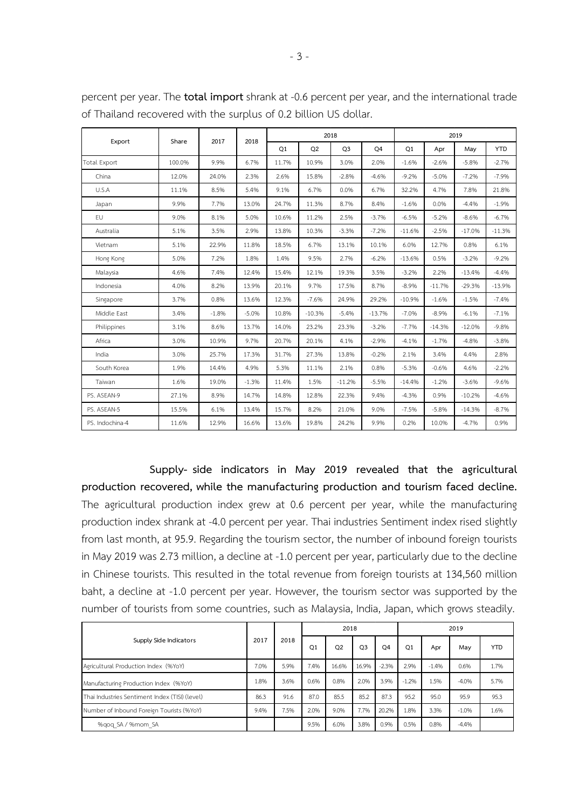|                     | Share  | 2017    | 2018    |       |          | 2018           |          | 2019     |          |          |            |  |
|---------------------|--------|---------|---------|-------|----------|----------------|----------|----------|----------|----------|------------|--|
| Export              |        |         |         | Q1    | Q2       | Q <sub>3</sub> | Q4       | Q1       | Apr      | May      | <b>YTD</b> |  |
| <b>Total Export</b> | 100.0% | 9.9%    | 6.7%    | 11.7% | 10.9%    | 3.0%           | 2.0%     | $-1.6%$  | $-2.6%$  | $-5.8%$  | $-2.7%$    |  |
| China               | 12.0%  | 24.0%   | 2.3%    | 2.6%  | 15.8%    | $-2.8%$        | $-4.6%$  | $-9.2%$  | $-5.0%$  | $-7.2%$  | $-7.9%$    |  |
| U.S.A               | 11.1%  | 8.5%    | 5.4%    | 9.1%  | 6.7%     | 0.0%           | 6.7%     | 32.2%    | 4.7%     | 7.8%     | 21.8%      |  |
| Japan               | 9.9%   | 7.7%    | 13.0%   | 24.7% | 11.3%    | 8.7%           | 8.4%     | $-1.6%$  | 0.0%     | $-4.4%$  | $-1.9%$    |  |
| <b>EU</b>           | 9.0%   | 8.1%    | 5.0%    | 10.6% | 11.2%    | 2.5%           | $-3.7%$  | $-6.5%$  | $-5.2%$  | $-8.6%$  | $-6.7%$    |  |
| Australia           | 5.1%   | 3.5%    | 2.9%    | 13.8% | 10.3%    | $-3.3%$        | $-7.2%$  | $-11.6%$ | $-2.5%$  | $-17.0%$ | $-11.3%$   |  |
| Vietnam             | 5.1%   | 22.9%   | 11.8%   | 18.5% | 6.7%     | 13.1%          | 10.1%    | 6.0%     | 12.7%    | 0.8%     | 6.1%       |  |
| Hong Kong           | 5.0%   | 7.2%    | 1.8%    | 1.4%  | 9.5%     | 2.7%           | $-6.2%$  | $-13.6%$ | 0.5%     | $-3.2%$  | $-9.2%$    |  |
| Malaysia            | 4.6%   | 7.4%    | 12.4%   | 15.4% | 12.1%    | 19.3%          | 3.5%     | $-3.2%$  | 2.2%     | $-13.4%$ | $-4.4%$    |  |
| Indonesia           | 4.0%   | 8.2%    | 13.9%   | 20.1% | 9.7%     | 17.5%          | 8.7%     | $-8.9%$  | $-11.7%$ | $-29.3%$ | $-13.9%$   |  |
| Singapore           | 3.7%   | 0.8%    | 13.6%   | 12.3% | $-7.6%$  | 24.9%          | 29.2%    | $-10.9%$ | $-1.6%$  | $-1.5%$  | $-7.4%$    |  |
| Middle East         | 3.4%   | $-1.8%$ | $-5.0%$ | 10.8% | $-10.3%$ | $-5.4%$        | $-13.7%$ | $-7.0%$  | $-8.9%$  | $-6.1%$  | $-7.1%$    |  |
| Philippines         | 3.1%   | 8.6%    | 13.7%   | 14.0% | 23.2%    | 23.3%          | $-3.2%$  | $-7.7%$  | $-14.3%$ | $-12.0%$ | $-9.8%$    |  |
| Africa              | 3.0%   | 10.9%   | 9.7%    | 20.7% | 20.1%    | 4.1%           | $-2.9%$  | $-4.1%$  | $-1.7%$  | $-4.8%$  | $-3.8%$    |  |
| India               | 3.0%   | 25.7%   | 17.3%   | 31.7% | 27.3%    | 13.8%          | $-0.2%$  | 2.1%     | 3.4%     | 4.4%     | 2.8%       |  |
| South Korea         | 1.9%   | 14.4%   | 4.9%    | 5.3%  | 11.1%    | 2.1%           | 0.8%     | $-5.3%$  | $-0.6%$  | 4.6%     | $-2.2%$    |  |
| Taiwan              | 1.6%   | 19.0%   | $-1.3%$ | 11.4% | 1.5%     | $-11.2%$       | $-5.5%$  | $-14.4%$ | $-1.2%$  | $-3.6%$  | $-9.6%$    |  |
| PS. ASEAN-9         | 27.1%  | 8.9%    | 14.7%   | 14.8% | 12.8%    | 22.3%          | 9.4%     | $-4.3%$  | 0.9%     | $-10.2%$ | $-4.6%$    |  |
| PS. ASEAN-5         | 15.5%  | 6.1%    | 13.4%   | 15.7% | 8.2%     | 21.0%          | 9.0%     | $-7.5%$  | $-5.8%$  | $-14.3%$ | $-8.7%$    |  |
| PS. Indochina-4     | 11.6%  | 12.9%   | 16.6%   | 13.6% | 19.8%    | 24.2%          | 9.9%     | 0.2%     | 10.0%    | $-4.7%$  | 0.9%       |  |

percent per year. The **total import** shrank at -0.6 percent per year, and the international trade of Thailand recovered with the surplus of 0.2 billion US dollar.

**Supply- side indicators in May 2019 revealed that the agricultural production recovered, while the manufacturing production and tourism faced decline.** The agricultural production index grew at 0.6 percent per year, while the manufacturing production index shrank at -4.0 percent per year. Thai industries Sentiment index rised slightly from last month, at 95.9. Regarding the tourism sector, the number of inbound foreign tourists in May 2019 was 2.73 million, a decline at -1.0 percent per year, particularly due to the decline in Chinese tourists. This resulted in the total revenue from foreign tourists at 134,560 million baht, a decline at -1.0 percent per year. However, the tourism sector was supported by the number of tourists from some countries, such as Malaysia, India, Japan, which grows steadily.

|                                                |      |      |      | 2018           |                |         | 2019    |         |         |            |  |
|------------------------------------------------|------|------|------|----------------|----------------|---------|---------|---------|---------|------------|--|
| Supply Side Indicators                         | 2017 | 2018 | Q1   | Q <sub>2</sub> | O <sub>3</sub> | Q4      | Q1      | Apr     | May     | <b>YTD</b> |  |
| Agricultural Production Index (%YoY)           | 7.0% | 5.9% | 7.4% | 16.6%          | 16.9%          | $-2.3%$ | 2.9%    | $-1.4%$ | 0.6%    | 1.7%       |  |
| Manufacturing Production Index (%YoY)          | 1.8% | 3.6% | 0.6% | 0.8%           | 2.0%           | 3.9%    | $-1.2%$ | 1.5%    | $-4.0%$ | 5.7%       |  |
| Thai Industries Sentiment Index (TISI) (level) | 86.3 | 91.6 | 87.0 | 85.5           | 85.2           | 87.3    | 95.2    | 95.0    | 95.9    | 95.3       |  |
| Number of Inbound Foreign Tourists (%YoY)      | 9.4% | 7.5% | 2.0% | 9.0%           | 7.7%           | 20.2%   | 1.8%    | 3.3%    | $-1.0%$ | 1.6%       |  |
| %gog SA / %mom SA                              |      |      | 9.5% | 6.0%           | 3.8%           | 0.9%    | 0.5%    | 0.8%    | $-4.4%$ |            |  |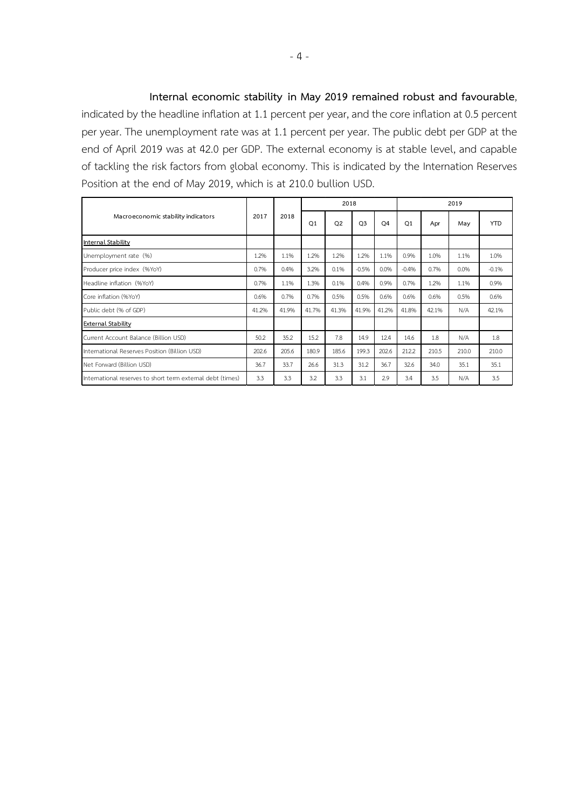**Internal economic stability in May 2019 remained robust and favourable**, indicated by the headline inflation at 1.1 percent per year, and the core inflation at 0.5 percent per year. The unemployment rate was at 1.1 percent per year. The public debt per GDP at the end of April 2019 was at 42.0 per GDP. The external economy is at stable level, and capable of tackling the risk factors from global economy. This is indicated by the Internation Reserves Position at the end of May 2019, which is at 210.0 bullion USD.

|                                                            |              |       |                | 2018           |                |                | 2019           |       |       |            |  |
|------------------------------------------------------------|--------------|-------|----------------|----------------|----------------|----------------|----------------|-------|-------|------------|--|
| Macroeconomic stability indicators                         | 2017<br>2018 |       | O <sub>1</sub> | Q <sub>2</sub> | O <sub>3</sub> | O <sub>4</sub> | O <sub>1</sub> | Apr   | May   | <b>YTD</b> |  |
| <b>Internal Stability</b>                                  |              |       |                |                |                |                |                |       |       |            |  |
| Unemployment rate (%)                                      | 1.2%         | 1.1%  | 1.2%           | 1.2%           | 1.2%           | 1.1%           | 0.9%           | 1.0%  | 1.1%  | 1.0%       |  |
| Producer price index (%YoY)                                | 0.7%         | 0.4%  | 3.2%           | 0.1%           | $-0.5%$        | 0.0%           | $-0.4%$        | 0.7%  | 0.0%  | $-0.1%$    |  |
| Headline inflation (%YoY)                                  | 0.7%         | 1.1%  | 1.3%           | 0.1%           | 0.4%           | 0.9%           | 0.7%           | 1.2%  | 1.1%  | 0.9%       |  |
| Core inflation (%YoY)                                      | 0.6%         | 0.7%  | 0.7%           | 0.5%           | 0.5%           | 0.6%           | 0.6%           | 0.6%  | 0.5%  | 0.6%       |  |
| Public debt (% of GDP)                                     | 41.2%        | 41.9% | 41.7%          | 41.3%          | 41.9%          | 41.2%          | 41.8%          | 42.1% | N/A   | 42.1%      |  |
| <b>External Stability</b>                                  |              |       |                |                |                |                |                |       |       |            |  |
| Current Account Balance (Billion USD)                      | 50.2         | 35.2  | 15.2           | 7.8            | 14.9           | 12.4           | 14.6           | 1.8   | N/A   | 1.8        |  |
| International Reserves Position (Billion USD)              | 202.6        | 205.6 | 180.9          | 185.6          | 199.3          | 202.6          | 212.2          | 210.5 | 210.0 | 210.0      |  |
| Net Forward (Billion USD)                                  | 36.7         | 33.7  | 26.6           | 31.3           | 31.2           | 36.7           | 32.6           | 34.0  | 35.1  | 35.1       |  |
| International reserves to short term external debt (times) | 3.3          | 3.3   | 3.2            | 3.3            | 3.1            | 2.9            | 3.4            | 3.5   | N/A   | 3.5        |  |